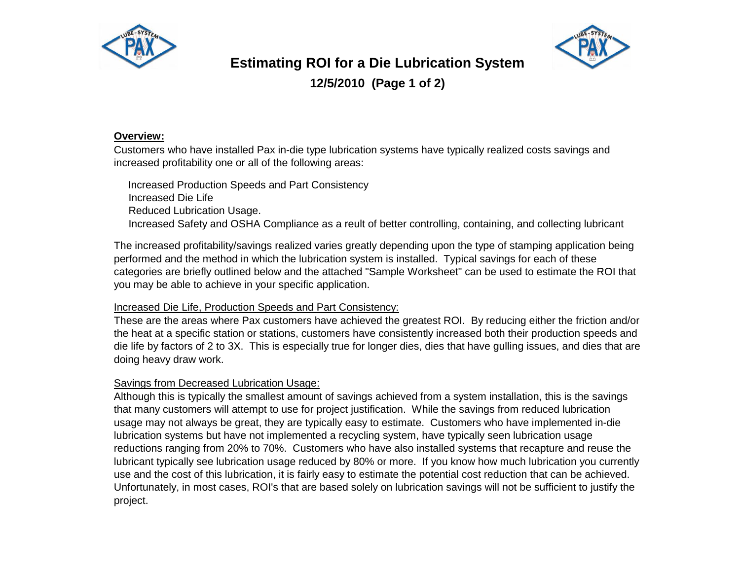



# **Estimating ROI for a Die Lubrication System**

**12/5/2010 (Page 1 of 2)**

#### **Overview:**

Customers who have installed Pax in-die type lubrication systems have typically realized costs savings and increased profitability one or all of the following areas:

 Increased Production Speeds and Part Consistency Increased Die Life Reduced Lubrication Usage. Increased Safety and OSHA Compliance as a reult of better controlling, containing, and collecting lubricant

The increased profitability/savings realized varies greatly depending upon the type of stamping application being performed and the method in which the lubrication system is installed. Typical savings for each of these categories are briefly outlined below and the attached "Sample Worksheet" can be used to estimate the ROI that you may be able to achieve in your specific application.

## Increased Die Life, Production Speeds and Part Consistency:

These are the areas where Pax customers have achieved the greatest ROI. By reducing either the friction and/or the heat at a specific station or stations, customers have consistently increased both their production speeds and die life by factors of 2 to 3X. This is especially true for longer dies, dies that have gulling issues, and dies that are doing heavy draw work.

## Savings from Decreased Lubrication Usage:

Although this is typically the smallest amount of savings achieved from a system installation, this is the savings that many customers will attempt to use for project justification. While the savings from reduced lubrication usage may not always be great, they are typically easy to estimate. Customers who have implemented in-die lubrication systems but have not implemented a recycling system, have typically seen lubrication usage reductions ranging from 20% to 70%. Customers who have also installed systems that recapture and reuse the lubricant typically see lubrication usage reduced by 80% or more. If you know how much lubrication you currently use and the cost of this lubrication, it is fairly easy to estimate the potential cost reduction that can be achieved. Unfortunately, in most cases, ROI's that are based solely on lubrication savings will not be sufficient to justify the project.